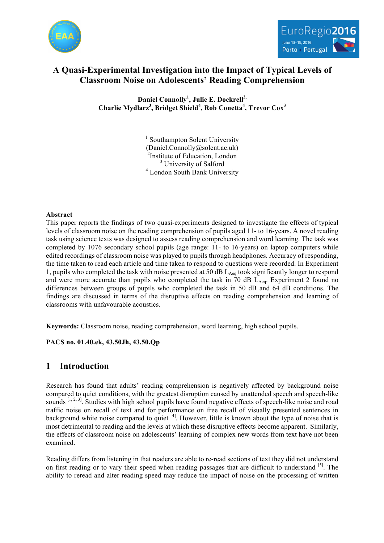



# **A Quasi-Experimental Investigation into the Impact of Typical Levels of Classroom Noise on Adolescents' Reading Comprehension**

**Daniel Connolly<sup>1</sup> , Julie E. Dockrell2, Charlie Mydlarz<sup>3</sup> , Bridget Shield<sup>4</sup> , Rob Conetta<sup>4</sup> , Trevor Cox<sup>3</sup>**

> <sup>1</sup> Southampton Solent University (Daniel.Connolly@solent.ac.uk) <sup>2</sup>Institute of Education, London <sup>3</sup> University of Salford <sup>4</sup> London South Bank University

# **Abstract**

This paper reports the findings of two quasi-experiments designed to investigate the effects of typical levels of classroom noise on the reading comprehension of pupils aged 11- to 16-years. A novel reading task using science texts was designed to assess reading comprehension and word learning. The task was completed by 1076 secondary school pupils (age range: 11- to 16-years) on laptop computers while edited recordings of classroom noise was played to pupils through headphones. Accuracy of responding, the time taken to read each article and time taken to respond to questions were recorded. In Experiment 1, pupils who completed the task with noise presented at 50 dB LAeq took significantly longer to respond and were more accurate than pupils who completed the task in 70 dB  $L_{Aeq}$ . Experiment 2 found no differences between groups of pupils who completed the task in 50 dB and 64 dB conditions. The findings are discussed in terms of the disruptive effects on reading comprehension and learning of classrooms with unfavourable acoustics.

**Keywords:** Classroom noise, reading comprehension, word learning, high school pupils.

**PACS no. 01.40.ek, 43.50Jh, 43.50.Qp**

# **1 Introduction**

Research has found that adults' reading comprehension is negatively affected by background noise compared to quiet conditions, with the greatest disruption caused by unattended speech and speech-like sounds  $[1, 2, 3]$ . Studies with high school pupils have found negative effects of speech-like noise and road traffic noise on recall of text and for performance on free recall of visually presented sentences in background white noise compared to quiet <sup>[4]</sup>. However, little is known about the type of noise that is most detrimental to reading and the levels at which these disruptive effects become apparent. Similarly, the effects of classroom noise on adolescents' learning of complex new words from text have not been examined.

Reading differs from listening in that readers are able to re-read sections of text they did not understand on first reading or to vary their speed when reading passages that are difficult to understand [5]. The ability to reread and alter reading speed may reduce the impact of noise on the processing of written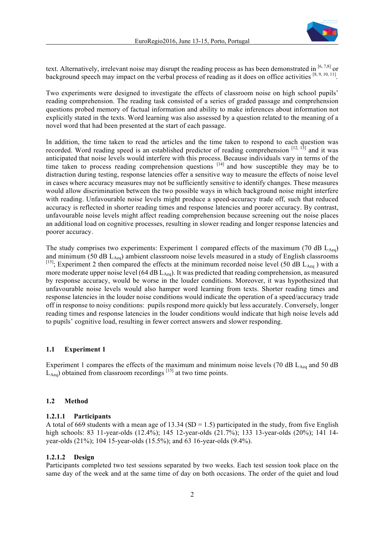

text. Alternatively, irrelevant noise may disrupt the reading process as has been demonstrated in  $[6, 7, 8]$  or background speech may impact on the verbal process of reading as it does on office activities [8, 9, 10, 11].

Two experiments were designed to investigate the effects of classroom noise on high school pupils' reading comprehension. The reading task consisted of a series of graded passage and comprehension questions probed memory of factual information and ability to make inferences about information not explicitly stated in the texts. Word learning was also assessed by a question related to the meaning of a novel word that had been presented at the start of each passage.

In addition, the time taken to read the articles and the time taken to respond to each question was recorded. Word reading speed is an established predictor of reading comprehension  $[12, 13]$  and it was anticipated that noise levels would interfere with this process. Because individuals vary in terms of the time taken to process reading comprehension questions  $[14]$  and how susceptible they may be to distraction during testing, response latencies offer a sensitive way to measure the effects of noise level in cases where accuracy measures may not be sufficiently sensitive to identify changes. These measures would allow discrimination between the two possible ways in which background noise might interfere with reading. Unfavourable noise levels might produce a speed-accuracy trade off, such that reduced accuracy is reflected in shorter reading times and response latencies and poorer accuracy. By contrast, unfavourable noise levels might affect reading comprehension because screening out the noise places an additional load on cognitive processes, resulting in slower reading and longer response latencies and poorer accuracy.

The study comprises two experiments: Experiment 1 compared effects of the maximum (70 dB  $L_{Aeq}$ ) and minimum (50 dB  $L_{Aeq}$ ) ambient classroom noise levels measured in a study of English classrooms <sup>[15]</sup>; Experiment 2 then compared the effects at the minimum recorded noise level (50 dB  $L_{Aeq}$ ) with a more moderate upper noise level (64 dB  $L_{Aeq}$ ). It was predicted that reading comprehension, as measured by response accuracy, would be worse in the louder conditions. Moreover, it was hypothesized that unfavourable noise levels would also hamper word learning from texts. Shorter reading times and response latencies in the louder noise conditions would indicate the operation of a speed/accuracy trade off in response to noisy conditions: pupils respond more quickly but less accurately. Conversely, longer reading times and response latencies in the louder conditions would indicate that high noise levels add to pupils' cognitive load, resulting in fewer correct answers and slower responding.

## **1.1 Experiment 1**

Experiment 1 compares the effects of the maximum and minimum noise levels (70 dB  $L_{Aeq}$  and 50 dB  $\hat{L}_{\text{Aeq}}$ ) obtained from classroom recordings <sup>[15]</sup> at two time points.

## **1.2 Method**

#### **1.2.1.1 Participants**

A total of 669 students with a mean age of 13.34 (SD = 1.5) participated in the study, from five English high schools: 83 11-year-olds (12.4%); 145 12-year-olds (21.7%); 133 13-year-olds (20%); 141 14 year-olds (21%); 104 15-year-olds (15.5%); and 63 16-year-olds (9.4%).

### **1.2.1.2 Design**

Participants completed two test sessions separated by two weeks. Each test session took place on the same day of the week and at the same time of day on both occasions. The order of the quiet and loud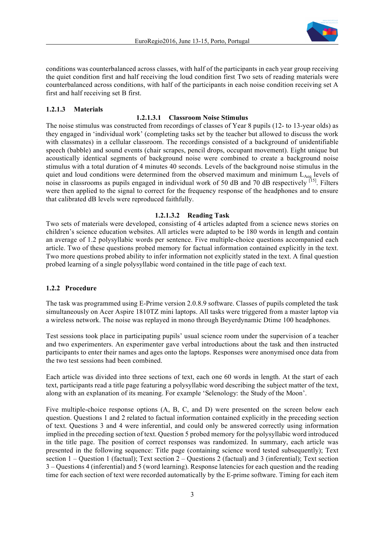

conditions was counterbalanced across classes, with half of the participants in each year group receiving the quiet condition first and half receiving the loud condition first. Two sets of reading materials were counterbalanced across conditions, with half of the participants in each noise condition receiving set A first and half receiving set B first.

# **1.2.1.3 Materials**

## **1.2.1.3.1 Classroom Noise Stimulus**

The noise stimulus was constructed from recordings of classes of Year 8 pupils (12- to 13-year olds) as they engaged in 'individual work' (completing tasks set by the teacher but allowed to discuss the work with classmates) in a cellular classroom. The recordings consisted of a background of unidentifiable speech (babble) and sound events (chair scrapes, pencil drops, occupant movement). Eight unique but acoustically identical segments of background noise were combined to create a background noise stimulus with a total duration of 4 minutes 40 seconds. Levels of the background noise stimulus in the quiet and loud conditions were determined from the observed maximum and minimum  $L_{Aeq}$  levels of noise in classrooms as pupils engaged in individual work of 50 dB and 70 dB respectively  $^{[15]}$ . Filters were then applied to the signal to correct for the frequency response of the headphones and to ensure that calibrated dB levels were reproduced faithfully.

## **1.2.1.3.2 Reading Task**

Two sets of materials were developed, consisting of 4 articles adapted from a science news stories on children's science education websites. All articles were adapted to be 180 words in length and contain an average of 1.2 polysyllabic words per sentence. Five multiple-choice questions accompanied each article. Two of these questions probed memory for factual information contained explicitly in the text. Two more questions probed ability to infer information not explicitly stated in the text. A final question probed learning of a single polysyllabic word contained in the title page of each text.

## **1.2.2 Procedure**

The task was programmed using E-Prime version 2.0.8.9 software. Classes of pupils completed the task simultaneously on Acer Aspire 1810TZ mini laptops. All tasks were triggered from a master laptop via a wireless network. The noise was replayed in mono through Beyerdynamic Dtime 100 headphones.

Test sessions took place in participating pupils' usual science room under the supervision of a teacher and two experimenters. An experimenter gave verbal introductions about the task and then instructed participants to enter their names and ages onto the laptops. Responses were anonymised once data from the two test sessions had been combined.

Each article was divided into three sections of text, each one 60 words in length. At the start of each text, participants read a title page featuring a polysyllabic word describing the subject matter of the text, along with an explanation of its meaning. For example 'Selenology: the Study of the Moon'.

Five multiple-choice response options (A, B, C, and D) were presented on the screen below each question. Questions 1 and 2 related to factual information contained explicitly in the preceding section of text. Questions 3 and 4 were inferential, and could only be answered correctly using information implied in the preceding section of text. Question 5 probed memory for the polysyllabic word introduced in the title page. The position of correct responses was randomized. In summary, each article was presented in the following sequence: Title page (containing science word tested subsequently); Text section 1 – Question 1 (factual); Text section 2 – Questions 2 (factual) and 3 (inferential); Text section 3 – Questions 4 (inferential) and 5 (word learning). Response latencies for each question and the reading time for each section of text were recorded automatically by the E-prime software. Timing for each item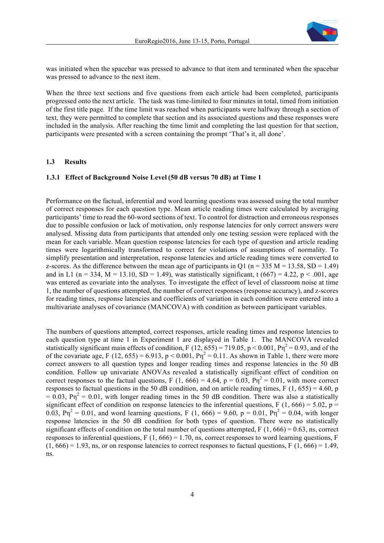

was initiated when the spacebar was pressed to advance to that item and terminated when the spacebar was pressed to advance to the next item.

When the three text sections and five questions from each article had been completed, participants progressed onto the next article. The task was time-limited to four minutes in total, timed from initiation of the first title page. If the time limit was reached when participants were halfway through a section of text, they were permitted to complete that section and its associated questions and these responses were included in the analysis. After reaching the time limit and completing the last question for that section, participants were presented with a screen containing the prompt 'That's it, all done'.

#### **1.3 Results**

#### **1.3.1 Effect of Background Noise Level (50 dB versus 70 dB) at Time 1**

Performance on the factual, inferential and word learning questions was assessed using the total number of correct responses for each question type. Mean article reading times were calculated by averaging participants' time to read the 60-word sections of text. To control for distraction and erroneous responses due to possible confusion or lack of motivation, only response latencies for only correct answers were analysed. Missing data from participants that attended only one testing session were replaced with the mean for each variable. Mean question response latencies for each type of question and article reading times were logarithmically transformed to correct for violations of assumptions of normality. To simplify presentation and interpretation, response latencies and article reading times were converted to z-scores. As the difference between the mean age of participants in O1 ( $n = 335$  M = 13.58, SD = 1.49) and in L1 (n = 334, M = 13.10, SD = 1.49), was statistically significant, t (667) = 4.22, p < .001, age was entered as covariate into the analyses. To investigate the effect of level of classroom noise at time 1, the number of questions attempted, the number of correct responses (response accuracy), and z-scores for reading times, response latencies and coefficients of variation in each condition were entered into a multivariate analyses of covariance (MANCOVA) with condition as between participant variables.

The numbers of questions attempted, correct responses, article reading times and response latencies to each question type at time 1 in Experiment 1 are displayed in Table 1. The MANCOVA revealed statistically significant main effects of condition, F (12, 655) = 719.05, p < 0.001,  $P\eta^2$  = 0.93, and of the of the covariate age, F (12, 655) = 6.913, p < 0.001,  $P\eta^2 = 0.11$ . As shown in Table 1, there were more correct answers to all question types and longer reading times and response latencies in the 50 dB condition. Follow up univariate ANOVAs revealed a statistically significant effect of condition on correct responses to the factual questions, F (1, 666) = 4.64,  $p = 0.03$ ,  $P\eta^2 = 0.01$ , with more correct responses to factual questions in the 50 dB condition, and on article reading times, F (1, 655) = 4.60, p  $= 0.03$ ,  $P\eta^2 = 0.01$ , with longer reading times in the 50 dB condition. There was also a statistically significant effect of condition on response latencies to the inferential questions, F (1, 666) = 5.02, p = 0.03,  $P\eta^2 = 0.01$ , and word learning questions, F (1, 666) = 9.60, p = 0.01,  $P\eta^2 = 0.04$ , with longer response latencies in the 50 dB condition for both types of question. There were no statistically significant effects of condition on the total number of questions attempted,  $F(1, 666) = 0.63$ , ns, correct responses to inferential questions,  $F(1, 666) = 1.70$ , ns, correct responses to word learning questions, F  $(1, 666) = 1.93$ , ns, or on response latencies to correct responses to factual questions, F  $(1, 666) = 1.49$ , ns.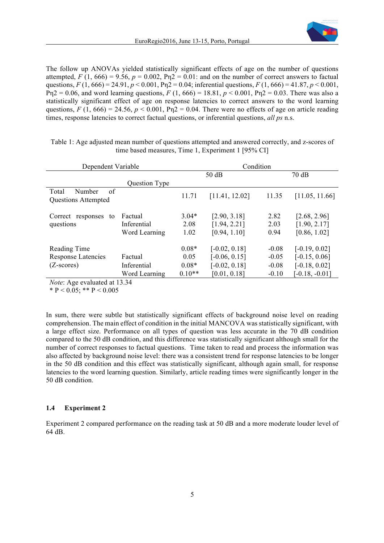

The follow up ANOVAs yielded statistically significant effects of age on the number of questions attempted,  $F(1, 666) = 9.56$ ,  $p = 0.002$ ,  $Pn2 = 0.01$ : and on the number of correct answers to factual questions,  $F(1, 666) = 24.91$ ,  $p < 0.001$ , Pn2 = 0.04; inferential questions,  $F(1, 666) = 41.87$ ,  $p < 0.001$ ,  $Pn2 = 0.06$ , and word learning questions,  $F(1, 666) = 18.81$ ,  $p < 0.001$ ,  $Pn2 = 0.03$ . There was also a statistically significant effect of age on response latencies to correct answers to the word learning questions,  $F(1, 666) = 24.56$ ,  $p < 0.001$ ,  $Pn2 = 0.04$ . There were no effects of age on article reading times, response latencies to correct factual questions, or inferential questions, *all ps* n.s.

| Dependent Variable                                  |                                         | Condition               |                                              |                      |                                              |  |
|-----------------------------------------------------|-----------------------------------------|-------------------------|----------------------------------------------|----------------------|----------------------------------------------|--|
|                                                     |                                         | 50 dB                   |                                              |                      | 70dB                                         |  |
|                                                     | Question Type                           |                         |                                              |                      |                                              |  |
| of<br>Number<br>Total<br><b>Questions Attempted</b> |                                         | 11.71                   | [11.41, 12.02]                               | 11.35                | [11.05, 11.66]                               |  |
| Correct responses<br>to<br>questions                | Factual<br>Inferential<br>Word Learning | $3.04*$<br>2.08<br>1.02 | [2.90, 3.18]<br>[1.94, 2.21]<br>[0.94, 1.10] | 2.82<br>2.03<br>0.94 | [2.68, 2.96]<br>[1.90, 2.17]<br>[0.86, 1.02] |  |
| Reading Time                                        |                                         | $0.08*$                 | $[-0.02, 0.18]$                              | $-0.08$              | $[-0.19, 0.02]$                              |  |
| <b>Response Latencies</b>                           | Factual                                 | 0.05                    | $[-0.06, 0.15]$                              | $-0.05$              | $[-0.15, 0.06]$                              |  |
| $(Z\text{-}scores)$                                 | Inferential                             | $0.08*$                 | $[-0.02, 0.18]$                              | $-0.08$              | $[-0.18, 0.02]$                              |  |
|                                                     | Word Learning                           | $0.10**$                | [0.01, 0.18]                                 | $-0.10$              | $[-0.18, -0.01]$                             |  |

Table 1: Age adjusted mean number of questions attempted and answered correctly, and z-scores of time based measures, Time 1, Experiment 1 [95% CI]

*Note*: Age evaluated at 13.34

\* P < 0.05; \*\* P < 0.005

In sum, there were subtle but statistically significant effects of background noise level on reading comprehension. The main effect of condition in the initial MANCOVA was statistically significant, with a large effect size. Performance on all types of question was less accurate in the 70 dB condition compared to the 50 dB condition, and this difference was statistically significant although small for the number of correct responses to factual questions. Time taken to read and process the information was also affected by background noise level: there was a consistent trend for response latencies to be longer in the 50 dB condition and this effect was statistically significant, although again small, for response latencies to the word learning question. Similarly, article reading times were significantly longer in the 50 dB condition.

#### **1.4 Experiment 2**

Experiment 2 compared performance on the reading task at 50 dB and a more moderate louder level of 64 dB.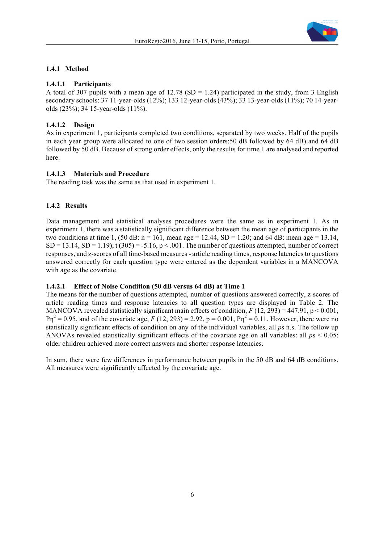

# **1.4.1 Method**

# **1.4.1.1 Participants**

A total of 307 pupils with a mean age of 12.78 (SD = 1.24) participated in the study, from 3 English secondary schools: 37 11-year-olds (12%); 133 12-year-olds (43%); 33 13-year-olds (11%); 70 14-yearolds (23%); 34 15-year-olds (11%).

# **1.4.1.2 Design**

As in experiment 1, participants completed two conditions, separated by two weeks. Half of the pupils in each year group were allocated to one of two session orders:50 dB followed by 64 dB) and 64 dB followed by 50 dB. Because of strong order effects, only the results for time 1 are analysed and reported here.

# **1.4.1.3 Materials and Procedure**

The reading task was the same as that used in experiment 1.

# **1.4.2 Results**

Data management and statistical analyses procedures were the same as in experiment 1. As in experiment 1, there was a statistically significant difference between the mean age of participants in the two conditions at time 1, (50 dB:  $n = 161$ , mean age = 12.44, SD = 1.20; and 64 dB: mean age = 13.14,  $SD = 13.14$ ,  $SD = 1.19$ ), t (305) = -5.16, p < .001. The number of questions attempted, number of correct responses, and z-scores of all time-based measures - article reading times, response latencies to questions answered correctly for each question type were entered as the dependent variables in a MANCOVA with age as the covariate.

## **1.4.2.1 Effect of Noise Condition (50 dB versus 64 dB) at Time 1**

The means for the number of questions attempted, number of questions answered correctly, z-scores of article reading times and response latencies to all question types are displayed in Table 2. The MANCOVA revealed statistically significant main effects of condition,  $F(12, 293) = 447.91$ ,  $p < 0.001$ ,  $P\eta^2 = 0.95$ , and of the covariate age,  $F(12, 293) = 2.92$ ,  $p = 0.001$ ,  $P\eta^2 = 0.11$ . However, there were no statistically significant effects of condition on any of the individual variables, all *p*s n.s. The follow up ANOVAs revealed statistically significant effects of the covariate age on all variables: all *p*s < 0.05: older children achieved more correct answers and shorter response latencies.

In sum, there were few differences in performance between pupils in the 50 dB and 64 dB conditions. All measures were significantly affected by the covariate age.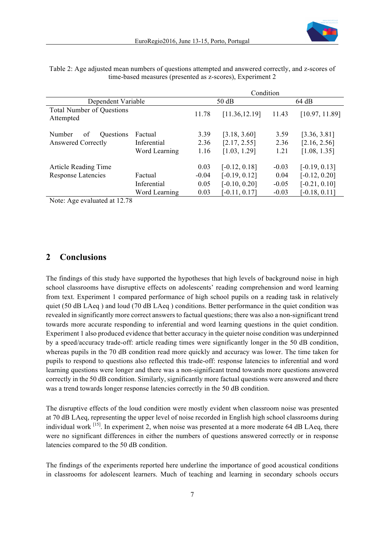|                                                        |                                         |                         | Condition                                             |                            |                                                       |  |  |
|--------------------------------------------------------|-----------------------------------------|-------------------------|-------------------------------------------------------|----------------------------|-------------------------------------------------------|--|--|
| Dependent Variable                                     |                                         | 50dB                    |                                                       | 64 dB                      |                                                       |  |  |
| <b>Total Number of Questions</b><br>Attempted          |                                         | 11.78                   | [11.36, 12.19]                                        | 11.43                      | [10.97, 11.89]                                        |  |  |
| Questions<br>Number<br>of<br><b>Answered Correctly</b> | Factual<br>Inferential<br>Word Learning | 3.39<br>2.36<br>1.16    | [3.18, 3.60]<br>[2.17, 2.55]<br>[1.03, 1.29]          | 3.59<br>2.36<br>1.21       | [3.36, 3.81]<br>[2.16, 2.56]<br>[1.08, 1.35]          |  |  |
| Article Reading Time<br><b>Response Latencies</b>      | Factual<br>Inferential                  | 0.03<br>$-0.04$<br>0.05 | $[-0.12, 0.18]$<br>$[-0.19, 0.12]$<br>$[-0.10, 0.20]$ | $-0.03$<br>0.04<br>$-0.05$ | $[-0.19, 0.13]$<br>$[-0.12, 0.20]$<br>$[-0.21, 0.10]$ |  |  |
|                                                        | Word Learning                           | 0.03                    | $[-0.11, 0.17]$                                       | $-0.03$                    | $[-0.18, 0.11]$                                       |  |  |

Table 2: Age adjusted mean numbers of questions attempted and answered correctly, and z-scores of time-based measures (presented as z-scores), Experiment 2

Note: Age evaluated at 12.78

# **2 Conclusions**

The findings of this study have supported the hypotheses that high levels of background noise in high school classrooms have disruptive effects on adolescents' reading comprehension and word learning from text. Experiment 1 compared performance of high school pupils on a reading task in relatively quiet (50 dB LAeq ) and loud (70 dB LAeq ) conditions. Better performance in the quiet condition was revealed in significantly more correct answers to factual questions; there was also a non-significant trend towards more accurate responding to inferential and word learning questions in the quiet condition. Experiment 1 also produced evidence that better accuracy in the quieter noise condition was underpinned by a speed/accuracy trade-off: article reading times were significantly longer in the 50 dB condition, whereas pupils in the 70 dB condition read more quickly and accuracy was lower. The time taken for pupils to respond to questions also reflected this trade-off: response latencies to inferential and word learning questions were longer and there was a non-significant trend towards more questions answered correctly in the 50 dB condition. Similarly, significantly more factual questions were answered and there was a trend towards longer response latencies correctly in the 50 dB condition.

The disruptive effects of the loud condition were mostly evident when classroom noise was presented at 70 dB LAeq, representing the upper level of noise recorded in English high school classrooms during individual work [15]. In experiment 2, when noise was presented at a more moderate 64 dB LAeq, there were no significant differences in either the numbers of questions answered correctly or in response latencies compared to the 50 dB condition.

The findings of the experiments reported here underline the importance of good acoustical conditions in classrooms for adolescent learners. Much of teaching and learning in secondary schools occurs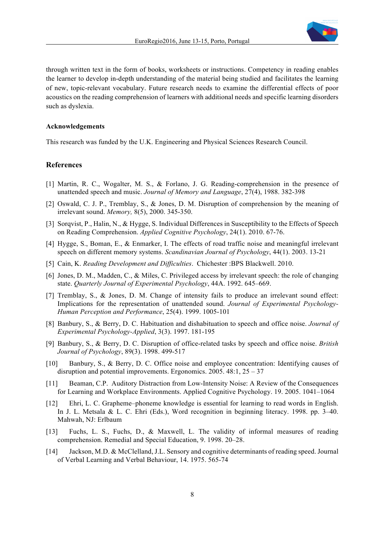

through written text in the form of books, worksheets or instructions. Competency in reading enables the learner to develop in-depth understanding of the material being studied and facilitates the learning of new, topic-relevant vocabulary. Future research needs to examine the differential effects of poor acoustics on the reading comprehension of learners with additional needs and specific learning disorders such as dyslexia.

#### **Acknowledgements**

This research was funded by the U.K. Engineering and Physical Sciences Research Council.

#### **References**

- [1] Martin, R. C., Wogalter, M. S., & Forlano, J. G. Reading-comprehension in the presence of unattended speech and music. *Journal of Memory and Language*, 27(4), 1988. 382-398
- [2] Oswald, C. J. P., Tremblay, S., & Jones, D. M. Disruption of comprehension by the meaning of irrelevant sound. *Memory,* 8(5), 2000. 345-350.
- [3] Sorqvist, P., Halin, N., & Hygge, S. Individual Differences in Susceptibility to the Effects of Speech on Reading Comprehension. *Applied Cognitive Psychology*, 24(1). 2010. 67-76.
- [4] Hygge, S., Boman, E., & Enmarker, I. The effects of road traffic noise and meaningful irrelevant speech on different memory systems. *Scandinavian Journal of Psychology*, 44(1). 2003. 13-21
- [5] Cain, K. *Reading Development and Difficulties*. Chichester :BPS Blackwell. 2010.
- [6] Jones, D. M., Madden, C., & Miles, C. Privileged access by irrelevant speech: the role of changing state. *Quarterly Journal of Experimental Psychology*, 44A. 1992. 645–669.
- [7] Tremblay, S., & Jones, D. M. Change of intensity fails to produce an irrelevant sound effect: Implications for the representation of unattended sound. *Journal of Experimental Psychology-Human Perception and Performance*, 25(4). 1999. 1005-101
- [8] Banbury, S., & Berry, D. C. Habituation and dishabituation to speech and office noise. *Journal of Experimental Psychology-Applied*, 3(3). 1997. 181-195
- [9] Banbury, S., & Berry, D. C. Disruption of office-related tasks by speech and office noise. *British Journal of Psychology*, 89(3). 1998. 499-517
- [10] Banbury, S., & Berry, D. C. Office noise and employee concentration: Identifying causes of disruption and potential improvements. Ergonomics. 2005. 48:1, 25 – 37
- [11] Beaman, C.P. Auditory Distraction from Low-Intensity Noise: A Review of the Consequences for Learning and Workplace Environments. Applied Cognitive Psychology. 19. 2005. 1041–1064
- [12] Ehri, L. C. Grapheme–phoneme knowledge is essential for learning to read words in English. In J. L. Metsala & L. C. Ehri (Eds.), Word recognition in beginning literacy. 1998. pp. 3–40. Mahwah, NJ: Erlbaum
- [13] Fuchs, L. S., Fuchs, D., & Maxwell, L. The validity of informal measures of reading comprehension. Remedial and Special Education, 9. 1998. 20–28.
- [14] Jackson, M.D. & McClelland, J.L. Sensory and cognitive determinants of reading speed. Journal of Verbal Learning and Verbal Behaviour, 14. 1975. 565-74